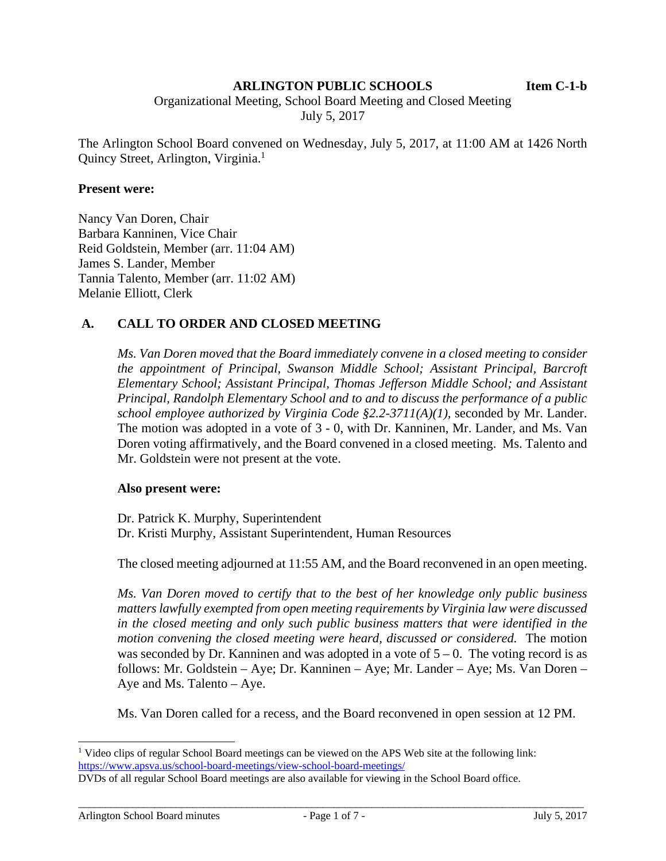### **ARLINGTON PUBLIC SCHOOLS Item C-1-b**

Organizational Meeting, School Board Meeting and Closed Meeting

July 5, 2017

The Arlington School Board convened on Wednesday, July 5, 2017, at 11:00 AM at 1426 North Quincy Street, Arlington, Virginia.1

#### **Present were:**

Nancy Van Doren, Chair Barbara Kanninen, Vice Chair Reid Goldstein, Member (arr. 11:04 AM) James S. Lander, Member Tannia Talento, Member (arr. 11:02 AM) Melanie Elliott, Clerk

### **A. CALL TO ORDER AND CLOSED MEETING**

*Ms. Van Doren moved that the Board immediately convene in a closed meeting to consider the appointment of Principal, Swanson Middle School; Assistant Principal, Barcroft Elementary School; Assistant Principal, Thomas Jefferson Middle School; and Assistant Principal, Randolph Elementary School and to and to discuss the performance of a public school employee authorized by Virginia Code §2.2-3711(A)(1),* seconded by Mr. Lander. The motion was adopted in a vote of 3 - 0, with Dr. Kanninen, Mr. Lander, and Ms. Van Doren voting affirmatively, and the Board convened in a closed meeting. Ms. Talento and Mr. Goldstein were not present at the vote.

#### **Also present were:**

Dr. Patrick K. Murphy, Superintendent Dr. Kristi Murphy, Assistant Superintendent, Human Resources

The closed meeting adjourned at 11:55 AM, and the Board reconvened in an open meeting.

*Ms. Van Doren moved to certify that to the best of her knowledge only public business matters lawfully exempted from open meeting requirements by Virginia law were discussed in the closed meeting and only such public business matters that were identified in the motion convening the closed meeting were heard, discussed or considered.* The motion was seconded by Dr. Kanninen and was adopted in a vote of  $5 - 0$ . The voting record is as follows: Mr. Goldstein – Aye; Dr. Kanninen – Aye; Mr. Lander – Aye; Ms. Van Doren – Aye and Ms. Talento – Aye.

Ms. Van Doren called for a recess, and the Board reconvened in open session at 12 PM.

l

<sup>&</sup>lt;sup>1</sup> Video clips of regular School Board meetings can be viewed on the APS Web site at the following link: https://www.apsva.us/school-board-meetings/view-school-board-meetings/

DVDs of all regular School Board meetings are also available for viewing in the School Board office.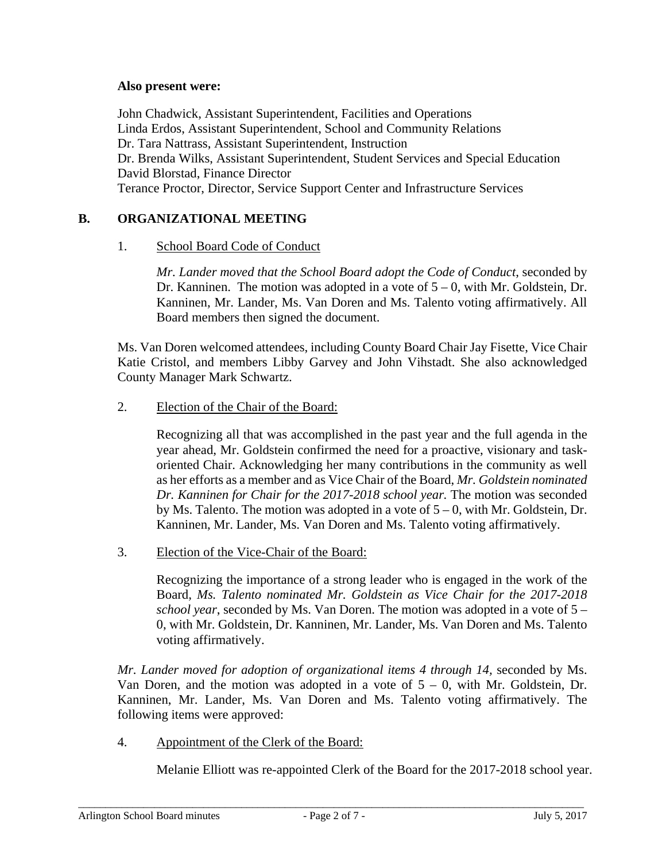### **Also present were:**

John Chadwick, Assistant Superintendent, Facilities and Operations Linda Erdos, Assistant Superintendent, School and Community Relations Dr. Tara Nattrass, Assistant Superintendent, Instruction Dr. Brenda Wilks, Assistant Superintendent, Student Services and Special Education David Blorstad, Finance Director Terance Proctor, Director, Service Support Center and Infrastructure Services

# **B. ORGANIZATIONAL MEETING**

### 1. School Board Code of Conduct

*Mr. Lander moved that the School Board adopt the Code of Conduct*, seconded by Dr. Kanninen.The motion was adopted in a vote of 5 – 0, with Mr. Goldstein, Dr. Kanninen, Mr. Lander, Ms. Van Doren and Ms. Talento voting affirmatively. All Board members then signed the document.

Ms. Van Doren welcomed attendees, including County Board Chair Jay Fisette, Vice Chair Katie Cristol, and members Libby Garvey and John Vihstadt. She also acknowledged County Manager Mark Schwartz.

### 2. Election of the Chair of the Board:

Recognizing all that was accomplished in the past year and the full agenda in the year ahead, Mr. Goldstein confirmed the need for a proactive, visionary and taskoriented Chair. Acknowledging her many contributions in the community as well as her efforts as a member and as Vice Chair of the Board, *Mr. Goldstein nominated Dr. Kanninen for Chair for the 2017-2018 school year.* The motion was seconded by Ms. Talento. The motion was adopted in a vote of  $5 - 0$ , with Mr. Goldstein, Dr. Kanninen, Mr. Lander, Ms. Van Doren and Ms. Talento voting affirmatively.

3. Election of the Vice-Chair of the Board:

Recognizing the importance of a strong leader who is engaged in the work of the Board*, Ms. Talento nominated Mr. Goldstein as Vice Chair for the 2017-2018 school year*, seconded by Ms. Van Doren. The motion was adopted in a vote of 5 – 0, with Mr. Goldstein, Dr. Kanninen, Mr. Lander, Ms. Van Doren and Ms. Talento voting affirmatively.

*Mr. Lander moved for adoption of organizational items 4 through 14, seconded by Ms.* Van Doren, and the motion was adopted in a vote of  $5 - 0$ , with Mr. Goldstein, Dr. Kanninen, Mr. Lander, Ms. Van Doren and Ms. Talento voting affirmatively. The following items were approved:

4. Appointment of the Clerk of the Board:

Melanie Elliott was re-appointed Clerk of the Board for the 2017-2018 school year.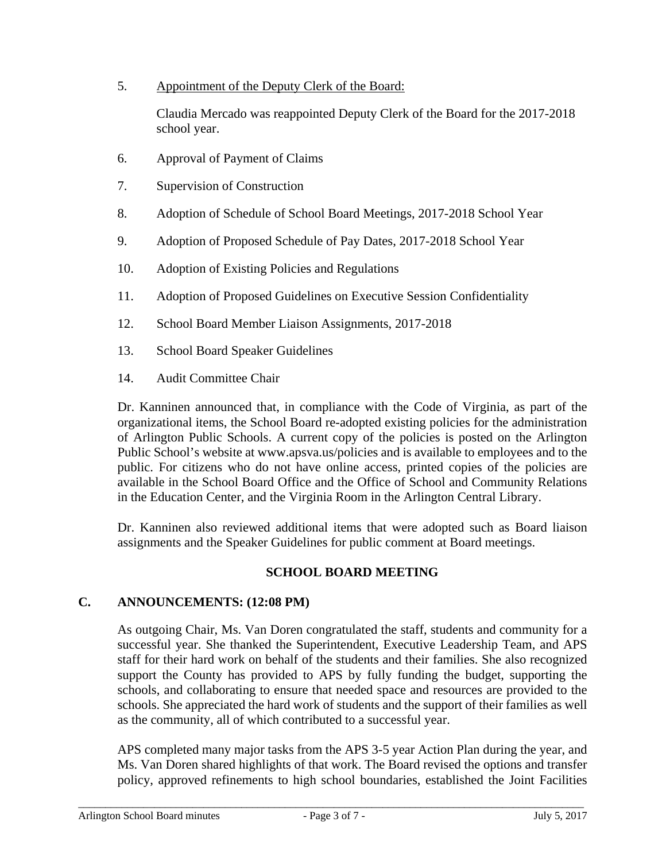5. Appointment of the Deputy Clerk of the Board:

Claudia Mercado was reappointed Deputy Clerk of the Board for the 2017-2018 school year.

- 6. Approval of Payment of Claims
- 7. Supervision of Construction
- 8. Adoption of Schedule of School Board Meetings, 2017-2018 School Year
- 9. Adoption of Proposed Schedule of Pay Dates, 2017-2018 School Year
- 10. Adoption of Existing Policies and Regulations
- 11. Adoption of Proposed Guidelines on Executive Session Confidentiality
- 12. School Board Member Liaison Assignments, 2017-2018
- 13. School Board Speaker Guidelines
- 14. Audit Committee Chair

Dr. Kanninen announced that, in compliance with the Code of Virginia, as part of the organizational items, the School Board re-adopted existing policies for the administration of Arlington Public Schools. A current copy of the policies is posted on the Arlington Public School's website at www.apsva.us/policies and is available to employees and to the public. For citizens who do not have online access, printed copies of the policies are available in the School Board Office and the Office of School and Community Relations in the Education Center, and the Virginia Room in the Arlington Central Library.

Dr. Kanninen also reviewed additional items that were adopted such as Board liaison assignments and the Speaker Guidelines for public comment at Board meetings.

### **SCHOOL BOARD MEETING**

### **C. ANNOUNCEMENTS: (12:08 PM)**

As outgoing Chair, Ms. Van Doren congratulated the staff, students and community for a successful year. She thanked the Superintendent, Executive Leadership Team, and APS staff for their hard work on behalf of the students and their families. She also recognized support the County has provided to APS by fully funding the budget, supporting the schools, and collaborating to ensure that needed space and resources are provided to the schools. She appreciated the hard work of students and the support of their families as well as the community, all of which contributed to a successful year.

APS completed many major tasks from the APS 3-5 year Action Plan during the year, and Ms. Van Doren shared highlights of that work. The Board revised the options and transfer policy, approved refinements to high school boundaries, established the Joint Facilities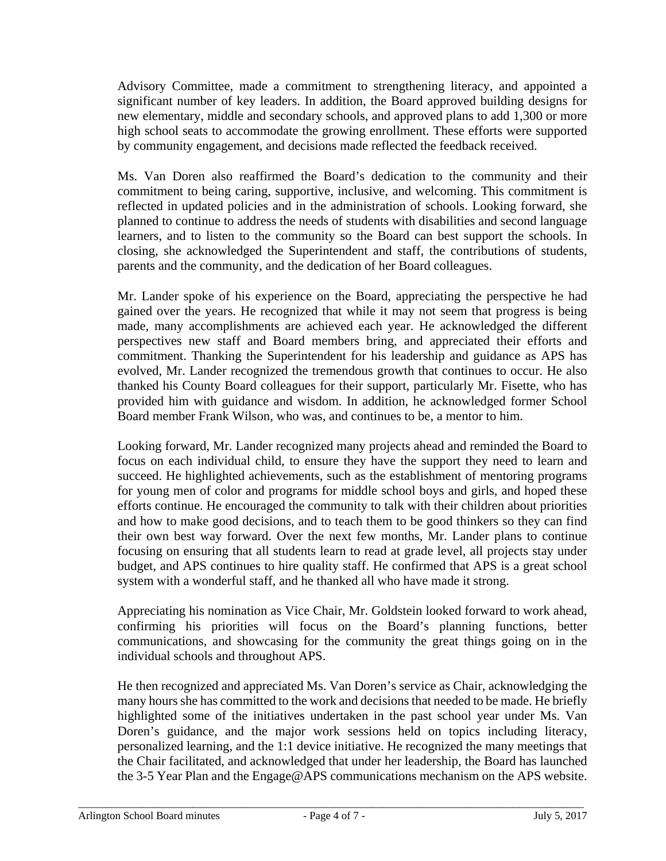Advisory Committee, made a commitment to strengthening literacy, and appointed a significant number of key leaders. In addition, the Board approved building designs for new elementary, middle and secondary schools, and approved plans to add 1,300 or more high school seats to accommodate the growing enrollment. These efforts were supported by community engagement, and decisions made reflected the feedback received.

Ms. Van Doren also reaffirmed the Board's dedication to the community and their commitment to being caring, supportive, inclusive, and welcoming. This commitment is reflected in updated policies and in the administration of schools. Looking forward, she planned to continue to address the needs of students with disabilities and second language learners, and to listen to the community so the Board can best support the schools. In closing, she acknowledged the Superintendent and staff, the contributions of students, parents and the community, and the dedication of her Board colleagues.

Mr. Lander spoke of his experience on the Board, appreciating the perspective he had gained over the years. He recognized that while it may not seem that progress is being made, many accomplishments are achieved each year. He acknowledged the different perspectives new staff and Board members bring, and appreciated their efforts and commitment. Thanking the Superintendent for his leadership and guidance as APS has evolved, Mr. Lander recognized the tremendous growth that continues to occur. He also thanked his County Board colleagues for their support, particularly Mr. Fisette, who has provided him with guidance and wisdom. In addition, he acknowledged former School Board member Frank Wilson, who was, and continues to be, a mentor to him.

Looking forward, Mr. Lander recognized many projects ahead and reminded the Board to focus on each individual child, to ensure they have the support they need to learn and succeed. He highlighted achievements, such as the establishment of mentoring programs for young men of color and programs for middle school boys and girls, and hoped these efforts continue. He encouraged the community to talk with their children about priorities and how to make good decisions, and to teach them to be good thinkers so they can find their own best way forward. Over the next few months, Mr. Lander plans to continue focusing on ensuring that all students learn to read at grade level, all projects stay under budget, and APS continues to hire quality staff. He confirmed that APS is a great school system with a wonderful staff, and he thanked all who have made it strong.

Appreciating his nomination as Vice Chair, Mr. Goldstein looked forward to work ahead, confirming his priorities will focus on the Board's planning functions, better communications, and showcasing for the community the great things going on in the individual schools and throughout APS.

He then recognized and appreciated Ms. Van Doren's service as Chair, acknowledging the many hours she has committed to the work and decisions that needed to be made. He briefly highlighted some of the initiatives undertaken in the past school year under Ms. Van Doren's guidance, and the major work sessions held on topics including literacy, personalized learning, and the 1:1 device initiative. He recognized the many meetings that the Chair facilitated, and acknowledged that under her leadership, the Board has launched the 3-5 Year Plan and the Engage@APS communications mechanism on the APS website.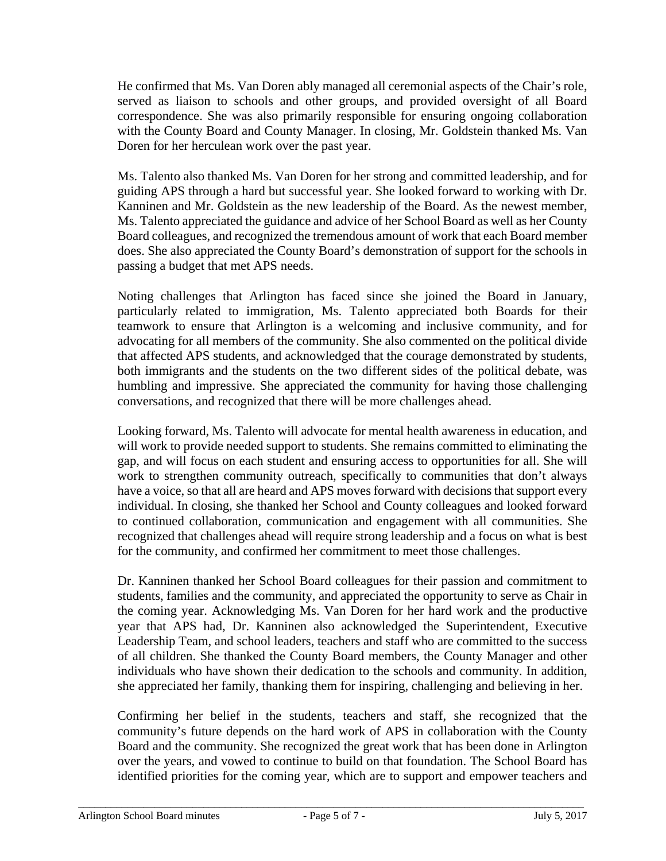He confirmed that Ms. Van Doren ably managed all ceremonial aspects of the Chair's role, served as liaison to schools and other groups, and provided oversight of all Board correspondence. She was also primarily responsible for ensuring ongoing collaboration with the County Board and County Manager. In closing, Mr. Goldstein thanked Ms. Van Doren for her herculean work over the past year.

Ms. Talento also thanked Ms. Van Doren for her strong and committed leadership, and for guiding APS through a hard but successful year. She looked forward to working with Dr. Kanninen and Mr. Goldstein as the new leadership of the Board. As the newest member, Ms. Talento appreciated the guidance and advice of her School Board as well as her County Board colleagues, and recognized the tremendous amount of work that each Board member does. She also appreciated the County Board's demonstration of support for the schools in passing a budget that met APS needs.

Noting challenges that Arlington has faced since she joined the Board in January, particularly related to immigration, Ms. Talento appreciated both Boards for their teamwork to ensure that Arlington is a welcoming and inclusive community, and for advocating for all members of the community. She also commented on the political divide that affected APS students, and acknowledged that the courage demonstrated by students, both immigrants and the students on the two different sides of the political debate, was humbling and impressive. She appreciated the community for having those challenging conversations, and recognized that there will be more challenges ahead.

Looking forward, Ms. Talento will advocate for mental health awareness in education, and will work to provide needed support to students. She remains committed to eliminating the gap, and will focus on each student and ensuring access to opportunities for all. She will work to strengthen community outreach, specifically to communities that don't always have a voice, so that all are heard and APS moves forward with decisions that support every individual. In closing, she thanked her School and County colleagues and looked forward to continued collaboration, communication and engagement with all communities. She recognized that challenges ahead will require strong leadership and a focus on what is best for the community, and confirmed her commitment to meet those challenges.

Dr. Kanninen thanked her School Board colleagues for their passion and commitment to students, families and the community, and appreciated the opportunity to serve as Chair in the coming year. Acknowledging Ms. Van Doren for her hard work and the productive year that APS had, Dr. Kanninen also acknowledged the Superintendent, Executive Leadership Team, and school leaders, teachers and staff who are committed to the success of all children. She thanked the County Board members, the County Manager and other individuals who have shown their dedication to the schools and community. In addition, she appreciated her family, thanking them for inspiring, challenging and believing in her.

Confirming her belief in the students, teachers and staff, she recognized that the community's future depends on the hard work of APS in collaboration with the County Board and the community. She recognized the great work that has been done in Arlington over the years, and vowed to continue to build on that foundation. The School Board has identified priorities for the coming year, which are to support and empower teachers and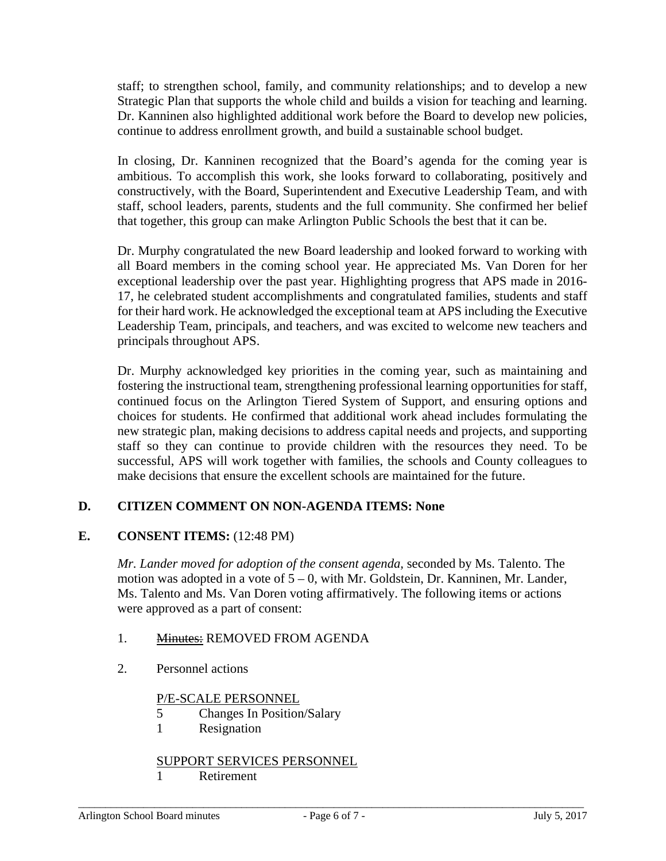staff; to strengthen school, family, and community relationships; and to develop a new Strategic Plan that supports the whole child and builds a vision for teaching and learning. Dr. Kanninen also highlighted additional work before the Board to develop new policies, continue to address enrollment growth, and build a sustainable school budget.

In closing, Dr. Kanninen recognized that the Board's agenda for the coming year is ambitious. To accomplish this work, she looks forward to collaborating, positively and constructively, with the Board, Superintendent and Executive Leadership Team, and with staff, school leaders, parents, students and the full community. She confirmed her belief that together, this group can make Arlington Public Schools the best that it can be.

Dr. Murphy congratulated the new Board leadership and looked forward to working with all Board members in the coming school year. He appreciated Ms. Van Doren for her exceptional leadership over the past year. Highlighting progress that APS made in 2016- 17, he celebrated student accomplishments and congratulated families, students and staff for their hard work. He acknowledged the exceptional team at APS including the Executive Leadership Team, principals, and teachers, and was excited to welcome new teachers and principals throughout APS.

Dr. Murphy acknowledged key priorities in the coming year, such as maintaining and fostering the instructional team, strengthening professional learning opportunities for staff, continued focus on the Arlington Tiered System of Support, and ensuring options and choices for students. He confirmed that additional work ahead includes formulating the new strategic plan, making decisions to address capital needs and projects, and supporting staff so they can continue to provide children with the resources they need. To be successful, APS will work together with families, the schools and County colleagues to make decisions that ensure the excellent schools are maintained for the future.

# **D. CITIZEN COMMENT ON NON-AGENDA ITEMS: None**

# **E. CONSENT ITEMS:** (12:48 PM)

*Mr. Lander moved for adoption of the consent agenda,* seconded by Ms. Talento. The motion was adopted in a vote of 5 – 0, with Mr. Goldstein, Dr. Kanninen, Mr. Lander, Ms. Talento and Ms. Van Doren voting affirmatively. The following items or actions were approved as a part of consent:

- 1. Minutes: REMOVED FROM AGENDA
- 2. Personnel actions

# P/E-SCALE PERSONNEL

- 5 Changes In Position/Salary
- 1 Resignation

### SUPPORT SERVICES PERSONNEL

1 Retirement